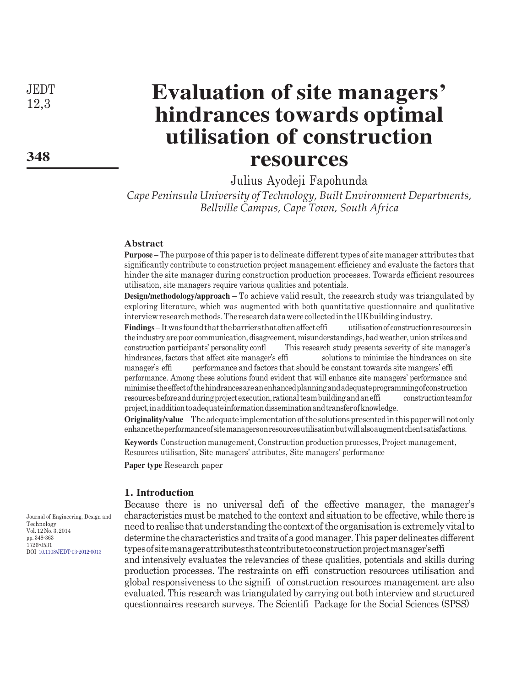**348**

## **Evaluation of site managers' hindrances towards optimal utilisation of construction resources**

Julius Ayodeji Fapohunda

*Cape Peninsula University of Technology, Built Environment Departments, Bellville Campus, Cape Town, South Africa*

### **Abstract**

**Purpose** – The purpose of this paper is to delineate different types of site manager attributes that significantly contribute to construction project management efficiency and evaluate the factors that hinder the site manager during construction production processes. Towards efficient resources utilisation, site managers require various qualities and potentials.

**Design/methodology/approach** – To achieve valid result, the research study was triangulated by exploring literature, which was augmented with both quantitative questionnaire and qualitative interview research methods. The research data were collected in the UK building industry.

**Findings** –It was found that the barriers that often affect effi utilisation of construction resources in the industry are poor communication, disagreement, misunderstandings, bad weather, union strikes and construction participants' personality confl This research study presents severity of site manager's hindrances, factors that affect site manager's effi solutions to minimise the hindrances on site manager's effi performance and factors that should be constant towards site mangers' effi performance. Among these solutions found evident that will enhance site managers' performance and minimise the effect of the hindrances arean enhanced planning and adequate programming of construction resources before and during project execution, rational team building and an effi construction team for project, in addition to adequate information dissemination and transfer of knowledge.

**Originality/value** – The adequate implementation of the solutions presented in this paper will not only enhance the performance of site managers on resources utilisation but will also augment client satisfactions.

**Keywords** Construction management, Construction production processes, Project management, Resources utilisation, Site managers' attributes, Site managers' performance

**Paper type** Research paper

### **1. Introduction**

Because there is no universal defi of the effective manager, the manager's characteristics must be matched to the context and situation to be effective, while there is need to realise that understanding the context of the organisation is extremely vital to determine the characteristics and traits of a good manager. This paper delineates different types of site manager attributes that contribute to construction project manager's effi and intensively evaluates the relevancies of these qualities, potentials and skills during production processes. The restraints on effi construction resources utilisation and global responsiveness to the signifi of construction resources management are also evaluated. This research was triangulated by carrying out both interview and structured questionnaires research surveys. The Scientifi Package for the Social Sciences (SPSS)

Journal of Engineering, Design and Technology Vol. 12 No. 3, 2014 pp. 348-363 1726-0531 DOI [10.1108/JEDT-03-2012-0013](http://dx.doi.org/10.1108/JEDT-03-2012-0013)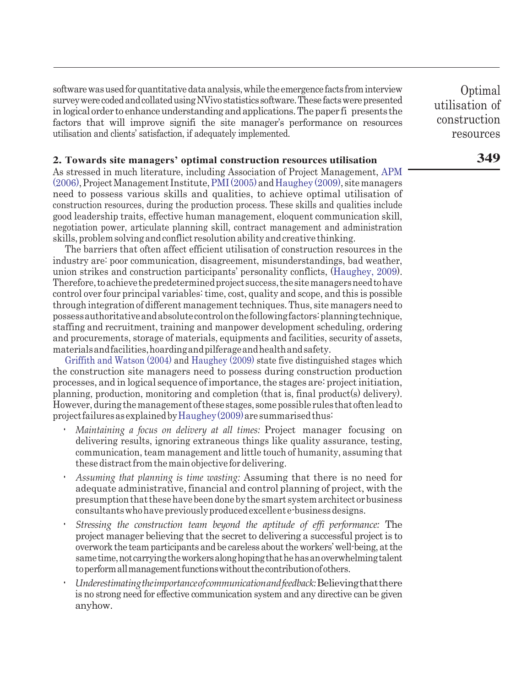software was used for quantitative data analysis, while the emergence facts from interview survey were coded and collated using NVivo statistics software. These facts were presented in logical order to enhance understanding and applications. The paper fi presents the factors that will improve signifi the site manager's performance on resources utilisation and clients' satisfaction, if adequately implemented.

### **2. Towards site managers' optimal construction resources utilisation**

As stressed in much literature, including Association of Project Management, APM (2006), Project Management Institute, PMI (2005) and Haughey (2009), site managers need to possess various skills and qualities, to achieve optimal utilisation of construction resources, during the production process. These skills and qualities include good leadership traits, effective human management, eloquent communication skill, negotiation power, articulate planning skill, contract management and administration skills, problem solving and conflict resolution ability and creative thinking.

The barriers that often affect efficient utilisation of construction resources in the industry are: poor communication, disagreement, misunderstandings, bad weather, union strikes and construction participants' personality conflicts, (Haughey, 2009). Therefore, to achieve the predetermined project success, the site managers need to have control over four principal variables: time, cost, quality and scope, and this is possible through integration of different management techniques. Thus, site managers need to possess authoritative and absolute control on the following factors: planning technique, staffing and recruitment, training and manpower development scheduling, ordering and procurements, storage of materials, equipments and facilities, security of assets, materials and facilities, hoarding and pilferage and health and safety.

Griffith and Watson (2004) and Haughey (2009) state five distinguished stages which the construction site managers need to possess during construction production processes, and in logical sequence of importance, the stages are: project initiation, planning, production, monitoring and completion (that is, final product(s) delivery). However, during the management of these stages, some possible rules that often lead to project failures as explained byHaughey (2009) are summarised thus:

- *Maintaining a focus on delivery at all times:* Project manager focusing on delivering results, ignoring extraneous things like quality assurance, testing, communication, team management and little touch of humanity, assuming that these distract from the main objective for delivering.
- *Assuming that planning is time wasting:* Assuming that there is no need for adequate administrative, financial and control planning of project, with the presumption that these have been done by the smart system architect or business consultants who have previously produced excellent e-business designs.
- *Stressing the construction team beyond the aptitude of effi performance:* The project manager believing that the secret to delivering a successful project is to overwork the team participants and be careless about the workers' well-being, at the same time, not carrying the workers along hoping that he has an overwhelming talent to perform all management functions without the contribution of others.
- *Underestimating the importance of communication and feedback:* Believing that there is no strong need for effective communication system and any directive can be given anyhow.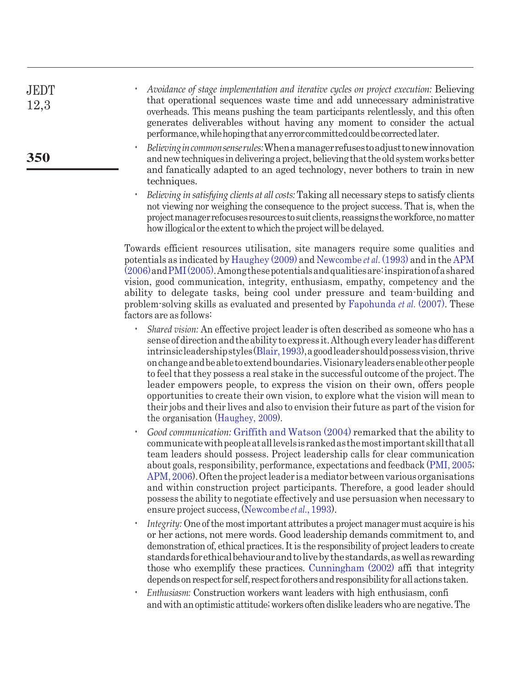| JEDT<br>12,3 | Avoidance of stage implementation and iterative cycles on project execution: Believing<br>that operational sequences waste time and add unnecessary administrative<br>overheads. This means pushing the team participants relentlessly, and this often<br>generates deliverables without having any moment to consider the actual<br>performance, while hoping that any error committed could be corrected later. |
|--------------|-------------------------------------------------------------------------------------------------------------------------------------------------------------------------------------------------------------------------------------------------------------------------------------------------------------------------------------------------------------------------------------------------------------------|
|--------------|-------------------------------------------------------------------------------------------------------------------------------------------------------------------------------------------------------------------------------------------------------------------------------------------------------------------------------------------------------------------------------------------------------------------|

**350**

- *Believing in common sense rules:* When a manager refuses to adjust to new innovation and new techniques in delivering a project, believing that the old system works better and fanatically adapted to an aged technology, never bothers to train in new techniques.
- *Believing in satisfying clients at all costs:* Taking all necessary steps to satisfy clients not viewing nor weighing the consequence to the project success. That is, when the project manager refocuses resources tosuit clients, reassigns the workforce, no matter how illogical or the extent to which the project will be delayed.

Towards efficient resources utilisation, site managers require some qualities and potentials as indicated by Haughey (2009) and Newcombe *et al.* (1993) and in the APM (2006) and PMI (2005). Among these potentials and qualities are: inspiration of a shared vision, good communication, integrity, enthusiasm, empathy, competency and the ability to delegate tasks, being cool under pressure and team-building and problem-solving skills as evaluated and presented by Fapohunda *et al.* (2007). These factors are as follows:

- *Shared vision:* An effective project leader is often described as someone who has a sense of direction and the ability to express it. Although every leader has different intrinsic leadership styles (Blair, 1993), a good leader should possess vision, thrive on change and be able to extend boundaries. Visionary leaders enable other people to feel that they possess a real stake in the successful outcome of the project. The leader empowers people, to express the vision on their own, offers people opportunities to create their own vision, to explore what the vision will mean to their jobs and their lives and also to envision their future as part of the vision for the organisation (Haughey, 2009).
- *Good communication:* Griffith and Watson (2004) remarked that the ability to communicate with people atall levels is ranked as the most important skill that all team leaders should possess. Project leadership calls for clear communication about goals, responsibility, performance, expectations and feedback (PMI, 2005; APM, 2006). Often the project leader is a mediator between various organisations and within construction project participants. Therefore, a good leader should possess the ability to negotiate effectively and use persuasion when necessary to ensure project success, (Newcombe *et al.*, 1993).
- *Integrity:* One of the most important attributes a project manager must acquire is his or her actions, not mere words. Good leadership demands commitment to, and demonstration of, ethical practices. Itis the responsibility of project leaders to create standards for ethical behaviour and to live by the standards, as well as rewarding those who exemplify these practices. Cunningham (2002) affi that integrity depends on respect for self, respect for others and responsibility for all actions taken.
- *Enthusiasm:* Construction workers want leaders with high enthusiasm, confi and with an optimistic attitude; workers often dislike leaders who are negative. The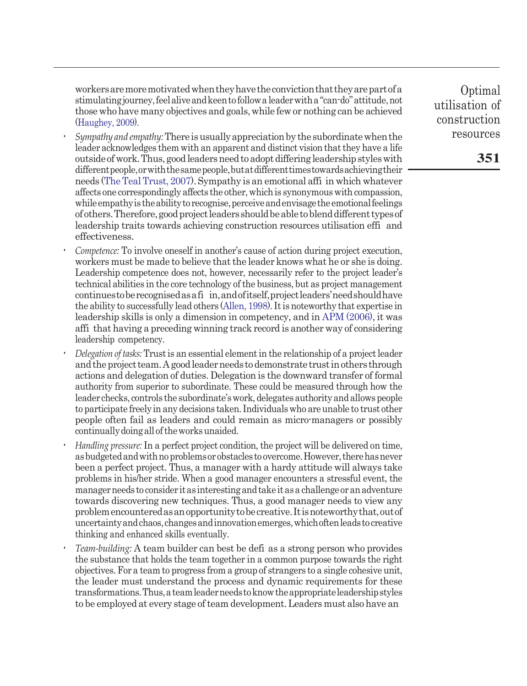workers are more motivated when they have the conviction that they are part of a stimulating journey, feel alive and keento follow a leader with a "can-do" attitude, not those who have many objectives and goals, while fewor nothing can be achieved (Haughey, 2009).

- *Sympathy and empathy:* There is usually appreciation by the subordinate when the leader acknowledges them with an apparent and distinct vision that they have a life outside of work. Thus, good leaders need to adopt differing leadership styles with different people, or with the same people, but at different times towards achieving their needs (The Teal Trust, 2007). Sympathy is an emotional affi in which whatever affects one correspondingly affects the other, which is synonymous with compassion, while empathy is the ability to recognise, perceive and envisage the emotional feelings of others. Therefore, good project leaders should beableto blend different types of leadership traits towards achieving construction resources utilisation effi and effectiveness.
- *Competence:* To involve oneself in another's cause of action during project execution, workers must be made to believe that the leader knows what he or she is doing. Leadership competence does not, however, necessarily refer to the project leader's technical abilities in the core technology of the business, but as project management continues tobe recognised as a fi in, and of itself, project leaders' need should have the ability to successfully lead others (Allen, 1998). It is noteworthy that expertise in leadership skills is only a dimension in competency, and in APM (2006), it was affi that having a preceding winning track record is another way of considering leadership competency.
- *Delegation of tasks:* Trust is an essential element in the relationship of a project leader and the project team. A good leader needs to demonstrate trust in others through actions and delegation of duties. Delegation is the downward transfer of formal authority from superior to subordinate. These could be measured through how the leader checks, controls the subordinate's work, delegates authority and allows people to participate freely in any decisions taken. Individuals who are unable to trust other people often fail as leaders and could remain as micro-managers or possibly continually doing all of the works unaided.
- *Handling pressure:* In a perfect project condition, the project will be delivered on time, as budgeted and with no problems or obstacles to overcome. However, there has never been a perfect project. Thus, a manager with a hardy attitude will always take problems in his/her stride. When a good manager encounters a stressful event, the manager needs to consider itas interesting and take itas a challenge oran adventure towards discovering new techniques. Thus, a good manager needs to view any problem encountered asan opportunity tobe creative. Itis noteworthy that, out of uncertainty and chaos, changes and innovation emerges, which often leads to creative thinking and enhanced skills eventually.
- *Team-building:* A team builder can best be defi as a strong person who provides the substance that holds the team together in a common purpose towards the right objectives. For a team to progress from a group of strangers to a single cohesive unit, the leader must understand the process and dynamic requirements for these transformations. Thus, a team leader needs to know the appropriate leadership styles to be employed at every stage of team development. Leaders must also have an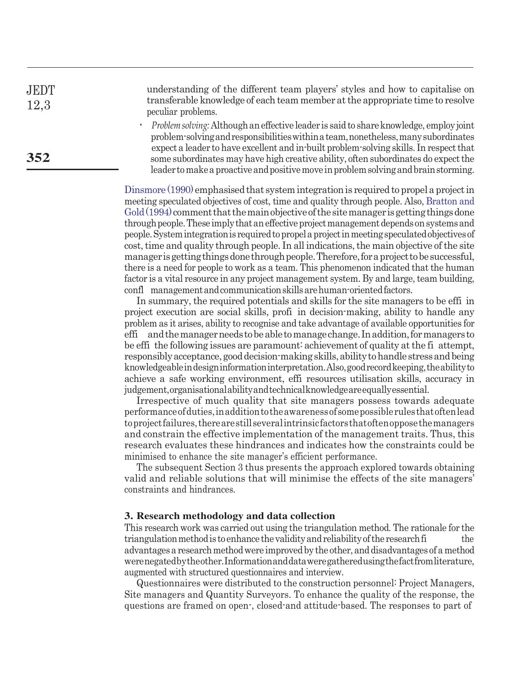| <b>JEDT</b><br>12,3 | understanding of the different team players' styles and how to capitalise on<br>transferable knowledge of each team member at the appropriate time to resolve<br>peculiar problems.                                                                                                                                                                                                                                                                 |
|---------------------|-----------------------------------------------------------------------------------------------------------------------------------------------------------------------------------------------------------------------------------------------------------------------------------------------------------------------------------------------------------------------------------------------------------------------------------------------------|
| 352                 | Problem solving: Although an effective leader is said to share knowledge, employ joint<br>problem-solving and responsibilities within a team, nonetheless, many subordinates<br>expect a leader to have excellent and in-built problem-solving skills. In respect that<br>some subordinates may have high creative ability, often subordinates do expect the<br>leader to make a proactive and positive move in problem solving and brain storming. |

Dinsmore (1990) emphasised that system integration is required to propel a project in meeting speculated objectives of cost, time and quality through people. Also, Bratton and Gold (1994) comment that the main objective of the site manager is getting things done through people. These imply that an effective project management depends on systems and people. System integration is required to propel a project in meeting speculated objectives of cost, time and quality through people. In all indications, the main objective of the site manager is getting things done through people. Therefore, for a project tobe successful, there is a need for people to work as a team. This phenomenon indicated that the human factor is a vital resource in any project management system. By and large, team building, confl management and communication skills are human-oriented factors.

In summary, the required potentials and skills for the site managers to be effi in project execution are social skills, profi in decision-making, ability to handle any problem as it arises, ability to recognise and take advantage of available opportunities for effi and the manager needs tobeableto manage change. In addition, for managers to be effi the following issues are paramount: achievement of quality at the fi attempt, responsibly acceptance, good decision-making skills, ability to handle stress and being knowledgeable in design information interpretation. Also, good record keeping, the ability to achieve a safe working environment, effi resources utilisation skills, accuracy in judgement, organisational ability and technical knowledge are equally essential.

Irrespective of much quality that site managers possess towards adequate performance of duties, in addition to the awareness of some possible rules that often lead to project failures, there are still several intrinsic factors that often oppose the managers and constrain the effective implementation of the management traits. Thus, this research evaluates these hindrances and indicates how the constraints could be minimised to enhance the site manager's efficient performance.

The subsequent Section 3 thus presents the approach explored towards obtaining valid and reliable solutions that will minimise the effects of the site managers' constraints and hindrances.

### **3. Research methodology and data collection**

This research work was carried out using the triangulation method. The rationale for the triangulation method is to enhance the validity and reliability of the research fi the advantages a research method were improved by the other, and disadvantages of a method were negated by the other. Information and data were gathered using the fact from literature, augmented with structured questionnaires and interview.

Questionnaires were distributed to the construction personnel: Project Managers, Site managers and Quantity Surveyors. To enhance the quality of the response, the questions are framed on open-, closed-and attitude-based. The responses to part of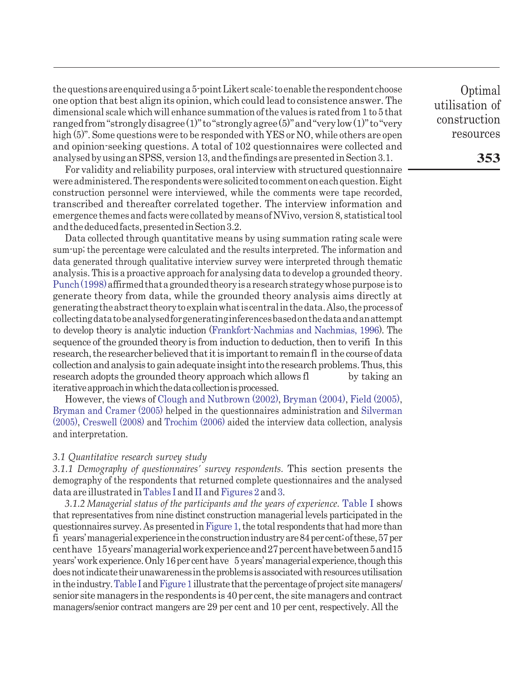the questions are enquired using a 5-point Likert scale: to enable the respondent choose one option that best align its opinion, which could lead to consistence answer. The dimensional scale which will enhance summation of the values is rated from 1 to 5 that ranged from "strongly disagree (1)"to"strongly agree (5)" and "very low (1)"to"very high (5)". Some questions were to be responded with YES or NO, while others are open and opinion-seeking questions. A total of 102 questionnaires were collected and analysed by using an SPSS, version 13, and the findings are presented in Section 3.1.

For validity and reliability purposes, oral interview with structured questionnaire were administered. The respondents were solicited to comment on each question. Eight construction personnel were interviewed, while the comments were tape recorded, transcribed and thereafter correlated together. The interview information and emergence themes and facts were collated by means of NVivo, version 8, statistical tool and the deduced facts, presented in Section 3.2.

Data collected through quantitative means by using summation rating scale were sum-up; the percentage were calculated and the results interpreted. The information and data generated through qualitative interview survey were interpreted through thematic analysis. This is a proactive approach for analysing data to develop a grounded theory. Punch (1998) affirmed that a grounded theory is a research strategy whose purpose is to generate theory from data, while the grounded theory analysis aims directly at generating the abstract theory to explain what is central in the data. Also, the process of collecting data tobe analysed for generating inferences based on the data and an attempt to develop theory is analytic induction (Frankfort-Nachmias and Nachmias, 1996). The sequence of the grounded theory is from induction to deduction, then to verifi In this research, the researcher believed that it is important to remain fl in the course of data collection and analysis to gain adequate insight into the research problems. Thus, this research adopts the grounded theory approach which allows fl by taking an iterative approach in which the data collection is processed.

However, the views of Clough and Nutbrown (2002), Bryman (2004), Field (2005), Bryman and Cramer (2005) helped in the questionnaires administration and Silverman (2005), Creswell (2008) and Trochim (2006) aided the interview data collection, analysis and interpretation.

### *3.1 Quantitative research survey study*

*3.1.1 Demography of questionnaires' survey respondents.* This section presents the demography of the respondents that returned complete questionnaires and the analysed data are illustrated i[nTables I a](#page-6-0)n[d II](#page-7-0) an[d Figures 2 a](#page-8-0)n[d 3.](#page-9-0)

*3.1.2 Managerial status of the participants and the years of experience.* [Table I](#page-6-0) shows that representatives from nine distinct construction managerial levels participated in the questionnaires survey. As presented i[nFigure 1,](#page-8-1) the total respondents that had more than fi years' managerial experience in the construction industry are 84 per cent; of these, 57 per cent have 15years' managerial work experience and 27 per cent have between 5 and15 years' work experience. Only 16 per cent have 5 years' managerial experience, though this does not indicate their unawareness in the problems is associated with resources utilisation in the industry[. Table I a](#page-6-0)n[d Figure 1 i](#page-8-1)llustrate that the percentage of project site managers/ senior site managers in the respondents is 40 per cent, the site managers and contract managers/senior contract mangers are 29 per cent and 10 per cent, respectively. All the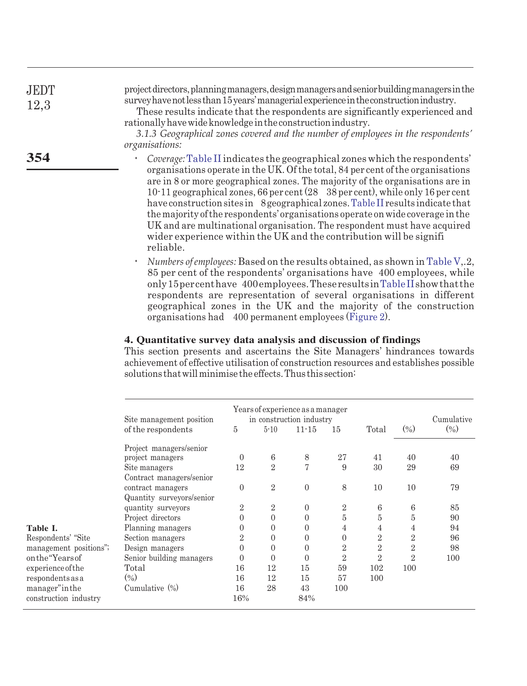| <b>JEDT</b><br>12,3 | project directors, planning managers, design managers and senior building managers in the<br>survey have not less than 15 years' managerial experience in the construction industry.<br>These results indicate that the respondents are significantly experienced and<br>rationally have wide knowledge in the construction industry.<br>3.1.3 Geographical zones covered and the number of employees in the respondents'<br><i>organisations:</i>                                                    |
|---------------------|-------------------------------------------------------------------------------------------------------------------------------------------------------------------------------------------------------------------------------------------------------------------------------------------------------------------------------------------------------------------------------------------------------------------------------------------------------------------------------------------------------|
| 354                 | Coverage: Table II indicates the geographical zones which the respondents'<br>organisations operate in the UK. Of the total, 84 per cent of the organisations<br>are in 8 or more geographical zones. The majority of the organisations are in<br>10.11 geographical zones, 66 per cent (28 38 per cent), while only 16 per cent<br>have construction sites in 8 geographical zones. Table II results indicate that<br>the majority of the respondents' organisations operate on wide coverage in the |

UK and are multinational organisation. The respondent must have acquired wider experience within the UK and the contribution will be signifi reliable.

• *Numbers of employees:* Based on the results obtained, as shown in [Table V,](#page-13-0).2, 85 per cent of the respondents' organisations have 400 employees, while only 15 per cent have 400 employees. These results i[nTable IIs](#page-7-0)how that the respondents are representation of several organisations in different geographical zones in the UK and the majority of the construction organisations had 400 permanent employees [\(Figure 2\)](#page-8-0).

### **4. Quantitative survey data analysis and discussion of findings**

This section presents and ascertains the Site Managers' hindrances towards achievement of effective utilisation of construction resources and establishes possible solutions that will minimise the effects. Thus this section:

<span id="page-6-0"></span>

|                        | Site management position  |                |                | Years of experience as a manager<br>in construction industry |                |                |                | Cumulative |
|------------------------|---------------------------|----------------|----------------|--------------------------------------------------------------|----------------|----------------|----------------|------------|
|                        | of the respondents        | 5              | $5 - 10$       | $11 - 15$                                                    | 15             | Total          | $(\%)$         | (9/0)      |
|                        | Project managers/senior   |                |                |                                                              |                |                |                |            |
|                        | project managers          | $\Omega$       | 6              | 8                                                            | 27             | 41             | 40             | 40         |
|                        | Site managers             | 12             | $\overline{2}$ | 7                                                            | 9              | 30             | 29             | 69         |
|                        | Contract managers/senior  |                |                |                                                              |                |                |                |            |
|                        | contract managers         | $\overline{0}$ | $\overline{2}$ | $\overline{0}$                                               | 8              | 10             | 10             | 79         |
|                        | Quantity surveyors/senior |                |                |                                                              |                |                |                |            |
|                        | quantity surveyors        | $\overline{2}$ | $\overline{2}$ | $\overline{0}$                                               | $\overline{2}$ | 6              | 6              | 85         |
|                        | Project directors         | $\Omega$       | $\overline{0}$ | $\theta$                                                     | 5              | 5              | 5              | 90         |
| Table I.               | Planning managers         |                | $\overline{0}$ | $\theta$                                                     | 4              | 4              | 4              | 94         |
| Respondents' "Site     | Section managers          | $\overline{2}$ | $\theta$       | $\overline{0}$                                               | $\Omega$       | $\overline{2}$ | $\overline{2}$ | 96         |
| management positions"; | Design managers           | $\theta$       | $\theta$       | $\theta$                                                     | $\overline{2}$ | $\overline{2}$ | $\overline{2}$ | 98         |
| on the ''Years of      | Senior building managers  | $\Omega$       | $\theta$       | $\theta$                                                     | $\overline{2}$ | $\overline{2}$ | $\overline{2}$ | 100        |
| experience of the      | Total                     | 16             | 12             | 15                                                           | 59             | 102            | 100            |            |
| respondents as a       | $(\% )$                   | 16             | 12             | 15                                                           | 57             | 100            |                |            |
| manager" in the        | Cumulative (%)            | 16             | 28             | 43                                                           | 100            |                |                |            |
| construction industry  |                           | 16%            |                | 84%                                                          |                |                |                |            |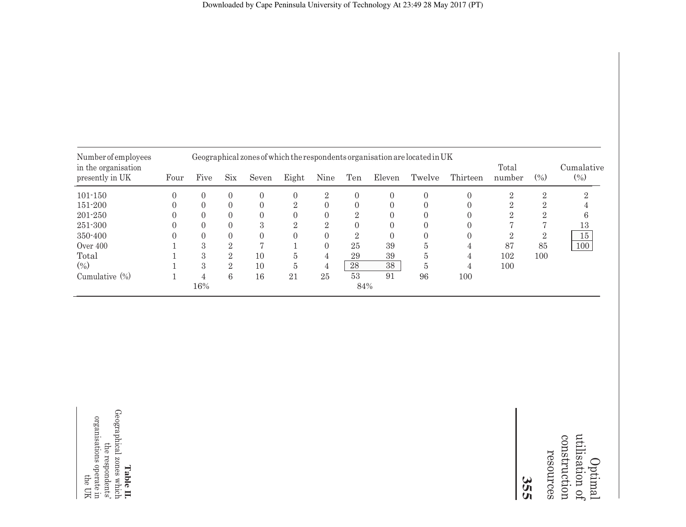| Number of employees                    | Geographical zones of which the respondents organisation are located in UK |          |                |          |       |                |                |          |          |          |                 |                |                   |
|----------------------------------------|----------------------------------------------------------------------------|----------|----------------|----------|-------|----------------|----------------|----------|----------|----------|-----------------|----------------|-------------------|
| in the organisation<br>presently in UK | Four                                                                       | Five     | $\rm {Six}$    | Seven    | Eight | Nine           | Ten            | Eleven   | Twelve   | Thirteen | Total<br>number | (0/0)          | Cumalative<br>(%) |
| $101 - 150$                            |                                                                            |          | 0              | $\theta$ |       | $\Omega$       | $\theta$       |          |          |          |                 | $\Omega$       |                   |
| 151-200                                |                                                                            |          |                |          | റ     |                | $\Omega$       |          |          |          |                 | $\overline{2}$ |                   |
| 201-250                                |                                                                            | $\theta$ | 0              | $\Omega$ |       | 0              | $\overline{2}$ | $\Omega$ | $\Omega$ |          | ິ               | $\overline{2}$ | b                 |
| 251-300                                |                                                                            |          |                | 3        | റ     | $\overline{2}$ | $\Omega$       |          |          |          |                 |                | 13                |
| 350-400                                |                                                                            | $\Omega$ | $\Omega$       |          |       |                | $\mathfrak{D}$ |          |          |          | $\Omega$        | $\overline{2}$ | 15 <sub>1</sub>   |
| Over $400$                             |                                                                            | 3        | $\Omega$       |          |       | $\theta$       | 25             | 39       | 5        | 4        | 87              | 85             | 100               |
| Total                                  |                                                                            | 3        | $\mathfrak{D}$ | 10       | 5     | 4              | 29             | 39       | 5        | 4        | 102             | 100            |                   |
| (%)                                    |                                                                            | 3        | $\overline{2}$ | 10       | 5     | 4              | 28             | 38       | 5        | 4        | 100             |                |                   |
| Cumulative $(\%)$                      |                                                                            | 4        | 6              | 16       | 21    | 25             | 53             | 91       | 96       | 100      |                 |                |                   |
|                                        |                                                                            | 16%      |                |          |       |                | 84%            |          |          |          |                 |                |                   |

<span id="page-7-0"></span>**Table II.** Geographical zones which the respondents' organisations operate in the UK

# **355**

utilisation construction resources resources Optimal of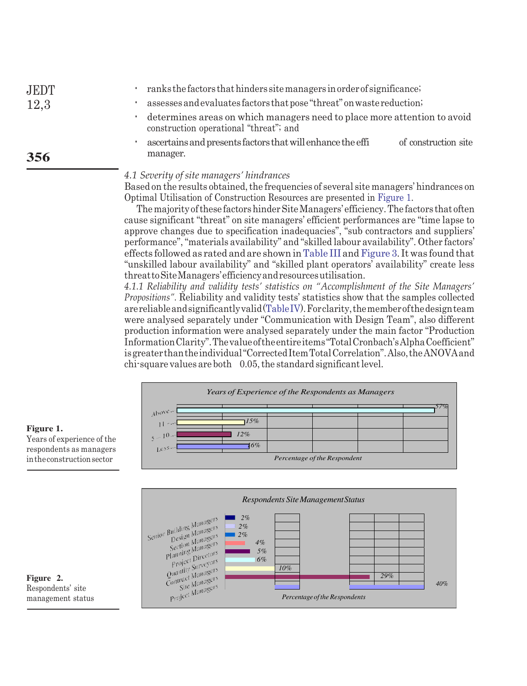| <b>JEDT</b> | ranks the factors that hinders site managers in order of significance;                                             |                      |
|-------------|--------------------------------------------------------------------------------------------------------------------|----------------------|
| 12,3        | assesses and evaluates factors that pose "threat" on waste reduction;                                              |                      |
|             | determines areas on which managers need to place more attention to avoid<br>construction operational "threat"; and |                      |
|             | ascertains and presents factors that will enhance the effi                                                         | of construction site |
| 356         | manager.                                                                                                           |                      |

### *4.1 Severity of site managers' hindrances*

Based on the results obtained, the frequencies of several site managers' hindrances on Optimal Utilisation of Construction Resources are presented in [Figure 1.](#page-8-1)

The majority of these factors hinder Site Managers' efficiency. The factors that often cause significant "threat" on site managers' efficient performances are "time lapse to approve changes due to specification inadequacies", "sub contractors and suppliers' performance", "materials availability" and "skilled labour availability". Other factors' effects followed as rated and are shown i[nTable III](#page-9-1) an[d Figure 3.](#page-9-0) It was found that "unskilled labour availability" and "skilled plant operators' availability" create less threat to Site Managers' efficiency and resources utilisation.

*4.1.1 Reliability and validity tests' statistics on ȃAccomplishment of the Site Managers' Propositions''*. Reliability and validity tests' statistics show that the samples collected are reliable and significantly valid [\(Table IV\)](#page-10-0). For clarity, the member of the design team were analysed separately under "Communication with Design Team", also different production information were analysed separately under the main factor "Production Information Clarity". The value of the entire items "TotalCronbach's Alpha Coefficient" is greater than the individual "Corrected Item Total Correlation". Also, the ANOVA and chi-square values are both 0.05, the standard significant level.





### <span id="page-8-1"></span>**Figure 1.**

Years of experience of the respondents as managers in the construction sector

<span id="page-8-0"></span>**Figure 2.** Respondents' site management status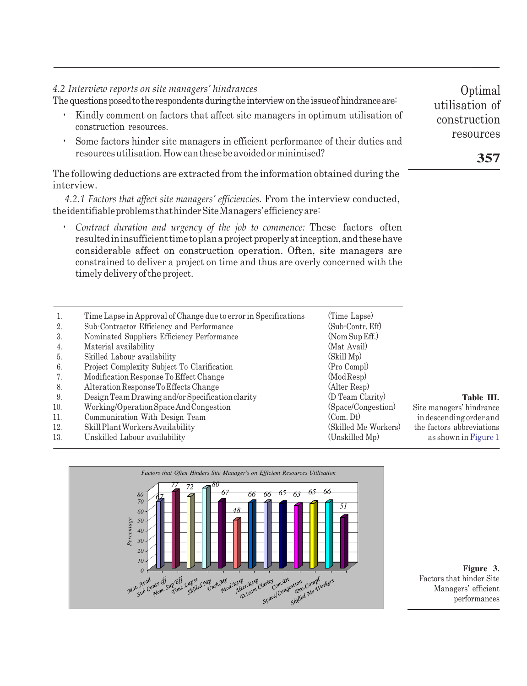*4.2 Interview reports on site managers' hindrances* The questions posed to the respondents during the interview on the issue of hindrance are: • Kindly comment on factors that affect site managers in optimum utilisation of construction resources. • Some factors hinder site managers in efficient performance of their duties and resources utilisation. How can these be avoided or minimised? The following deductions are extracted from the information obtained during the interview. Optimal utilisation of construction resources **357**

*4.2.1 Factors that affect site managers' efficiencies.* From the interview conducted, the identifiable problems that hinder Site Managers' efficiency are:

• *Contract duration and urgency of the job to commence:* These factors often resulted in insufficient time to plan a project properly at inception, and these have considerable affect on construction operation. Often, site managers are constrained to deliver a project on time and thus are overly concerned with the timely delivery of the project.

<span id="page-9-1"></span>

| Time Lapse in Approval of Change due to error in Specifications<br>(Time Lapse)<br>(Sub-Contr. Eff)<br>Sub-Contractor Efficiency and Performance<br>$\overline{2}$ .<br>Nominated Suppliers Efficiency Performance<br>(Nom Sup Eff.)<br>$\mathcal{S}$<br>(Mat Avail)<br>Material availability<br>4.<br>(Skill M <sub>p</sub> )<br>Skilled Labour availability<br>5.<br>(Pro Compl)<br>Project Complexity Subject To Clarification<br>6.<br>(ModResp)<br>Modification Response To Effect Change<br>(Alter Resp)<br>Alteration Response To Effects Change<br>8.<br>(D Team Clarity)<br>Design Team Drawing and/or Specification clarity<br>9.<br>Working/Operation Space And Congestion<br>(Space/Congestion)<br>10.<br>(Com. Dt)<br>Communication With Design Team<br>11.<br>(Skilled Me Workers)<br>Skill Plant Workers Availability<br>12. |  |                           |
|---------------------------------------------------------------------------------------------------------------------------------------------------------------------------------------------------------------------------------------------------------------------------------------------------------------------------------------------------------------------------------------------------------------------------------------------------------------------------------------------------------------------------------------------------------------------------------------------------------------------------------------------------------------------------------------------------------------------------------------------------------------------------------------------------------------------------------------------|--|---------------------------|
|                                                                                                                                                                                                                                                                                                                                                                                                                                                                                                                                                                                                                                                                                                                                                                                                                                             |  |                           |
|                                                                                                                                                                                                                                                                                                                                                                                                                                                                                                                                                                                                                                                                                                                                                                                                                                             |  |                           |
|                                                                                                                                                                                                                                                                                                                                                                                                                                                                                                                                                                                                                                                                                                                                                                                                                                             |  |                           |
|                                                                                                                                                                                                                                                                                                                                                                                                                                                                                                                                                                                                                                                                                                                                                                                                                                             |  |                           |
|                                                                                                                                                                                                                                                                                                                                                                                                                                                                                                                                                                                                                                                                                                                                                                                                                                             |  |                           |
|                                                                                                                                                                                                                                                                                                                                                                                                                                                                                                                                                                                                                                                                                                                                                                                                                                             |  |                           |
|                                                                                                                                                                                                                                                                                                                                                                                                                                                                                                                                                                                                                                                                                                                                                                                                                                             |  |                           |
|                                                                                                                                                                                                                                                                                                                                                                                                                                                                                                                                                                                                                                                                                                                                                                                                                                             |  |                           |
|                                                                                                                                                                                                                                                                                                                                                                                                                                                                                                                                                                                                                                                                                                                                                                                                                                             |  | Table III.                |
|                                                                                                                                                                                                                                                                                                                                                                                                                                                                                                                                                                                                                                                                                                                                                                                                                                             |  | Site managers' hindrance  |
|                                                                                                                                                                                                                                                                                                                                                                                                                                                                                                                                                                                                                                                                                                                                                                                                                                             |  | in descending order and   |
|                                                                                                                                                                                                                                                                                                                                                                                                                                                                                                                                                                                                                                                                                                                                                                                                                                             |  | the factors abbreviations |
| (Unskilled Mp)<br>Unskilled Labour availability<br>13.                                                                                                                                                                                                                                                                                                                                                                                                                                                                                                                                                                                                                                                                                                                                                                                      |  | as shown in Figure 1      |



<span id="page-9-0"></span>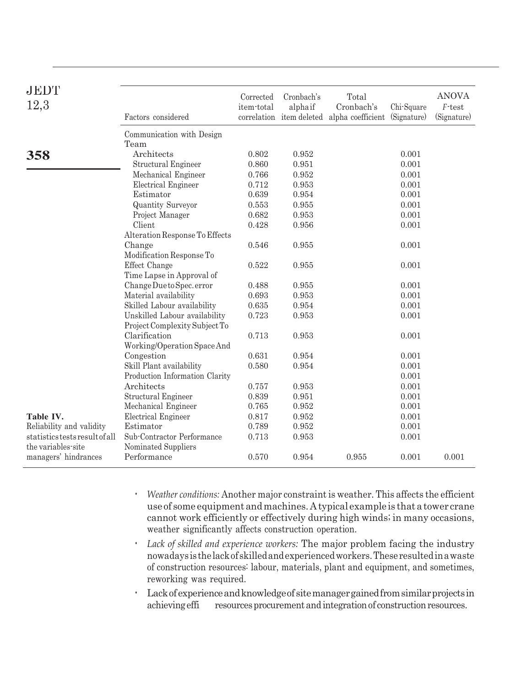<span id="page-10-0"></span>

| <b>JEDT</b><br>12,3            | Factors considered             | Corrected<br>item-total | Cronbach's<br>alphaif | Total<br>Cronbach's<br>correlation item deleted alpha coefficient | Chi-Square<br>(Signature) | <b>ANOVA</b><br>$F$ -test<br>(Signature) |
|--------------------------------|--------------------------------|-------------------------|-----------------------|-------------------------------------------------------------------|---------------------------|------------------------------------------|
|                                | Communication with Design      |                         |                       |                                                                   |                           |                                          |
|                                | Team                           |                         |                       |                                                                   |                           |                                          |
| 358                            | Architects                     | 0.802                   | 0.952                 |                                                                   | 0.001                     |                                          |
|                                | Structural Engineer            | 0.860                   | 0.951                 |                                                                   | 0.001                     |                                          |
|                                | Mechanical Engineer            | 0.766                   | 0.952                 |                                                                   | 0.001                     |                                          |
|                                | <b>Electrical Engineer</b>     | 0.712                   | 0.953                 |                                                                   | 0.001                     |                                          |
|                                | Estimator                      | 0.639                   | 0.954                 |                                                                   | 0.001                     |                                          |
|                                | Quantity Surveyor              | 0.553                   | 0.955                 |                                                                   | 0.001                     |                                          |
|                                | Project Manager                | 0.682                   | 0.953                 |                                                                   | 0.001                     |                                          |
|                                | Client                         | 0.428                   | 0.956                 |                                                                   | 0.001                     |                                          |
|                                | Alteration Response To Effects |                         |                       |                                                                   |                           |                                          |
|                                | Change                         | 0.546                   | 0.955                 |                                                                   | 0.001                     |                                          |
|                                | Modification Response To       |                         |                       |                                                                   |                           |                                          |
|                                | Effect Change                  | 0.522                   | 0.955                 |                                                                   | 0.001                     |                                          |
|                                | Time Lapse in Approval of      |                         |                       |                                                                   |                           |                                          |
|                                | Change Due to Spec. error      | 0.488                   | 0.955                 |                                                                   | 0.001                     |                                          |
|                                | Material availability          | 0.693                   | 0.953                 |                                                                   | 0.001                     |                                          |
|                                | Skilled Labour availability    | 0.635                   | 0.954                 |                                                                   | 0.001                     |                                          |
|                                | Unskilled Labour availability  | 0.723                   | 0.953                 |                                                                   | 0.001                     |                                          |
|                                | Project Complexity Subject To  |                         |                       |                                                                   |                           |                                          |
|                                | Clarification                  | 0.713                   | 0.953                 |                                                                   | 0.001                     |                                          |
|                                | Working/Operation Space And    |                         |                       |                                                                   |                           |                                          |
|                                | Congestion                     | 0.631                   | 0.954                 |                                                                   | 0.001                     |                                          |
|                                | Skill Plant availability       | 0.580                   | 0.954                 |                                                                   | 0.001                     |                                          |
|                                | Production Information Clarity |                         |                       |                                                                   | 0.001                     |                                          |
|                                | Architects                     | 0.757                   | 0.953                 |                                                                   | 0.001                     |                                          |
|                                | Structural Engineer            | 0.839                   | 0.951                 |                                                                   | 0.001                     |                                          |
|                                | Mechanical Engineer            | 0.765                   | 0.952                 |                                                                   | 0.001                     |                                          |
| Table IV.                      | Electrical Engineer            | 0.817                   | 0.952                 |                                                                   | 0.001                     |                                          |
| Reliability and validity       | Estimator                      | 0.789                   | 0.952                 |                                                                   | 0.001                     |                                          |
| statistics tests result of all | Sub-Contractor Performance     | 0.713                   | 0.953                 |                                                                   | 0.001                     |                                          |
| the variables site             | Nominated Suppliers            |                         |                       |                                                                   |                           |                                          |
| managers' hindrances           | Performance                    | 0.570                   | 0.954                 | 0.955                                                             | 0.001                     | 0.001                                    |

- *Weather conditions:* Another major constraint is weather. This affects the efficient use of some equipment and machines. A typical example is that a tower crane cannot work efficiently or effectively during high winds; in many occasions, weather significantly affects construction operation.
- *Lack of skilled and experience workers:* The major problem facing the industry nowadays is the lack of skilled and experienced workers. These resulted in a waste of construction resources: labour, materials, plant and equipment, and sometimes, reworking was required.
- Lack of experience and knowledge of site manager gained from similar projects in achieving effi resources procurement and integration of construction resources.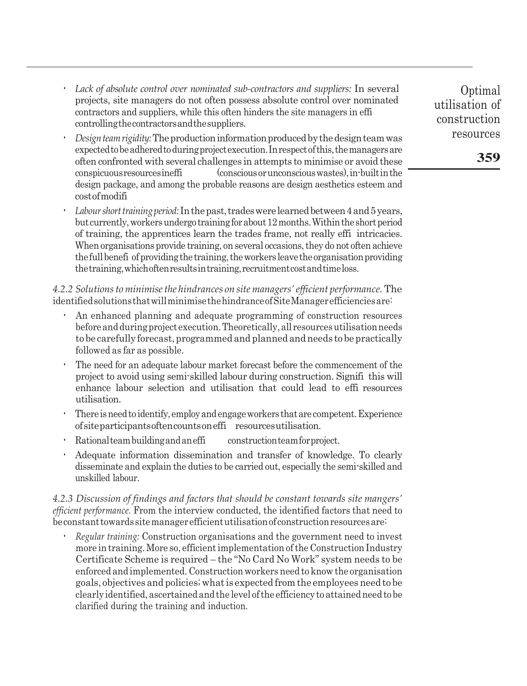- *Lack of absolute control over nominated sub-contractors and suppliers:* In several projects, site managers do not often possess absolute control over nominated contractors and suppliers, while this often hinders the site managers in effi controlling the contractors and the suppliers.
- *Design team rigidity:* The production information produced by the design team was expected tobe adhered to during project execution. In respect of this, the managers are often confronted with several challenges in attempts to minimise or avoid these conspicuous resources ineffi (conscious or unconscious wastes), in-built in the design package, and among the probable reasons are design aesthetics esteem and cost of modifi
- *Labour short training period:* In the past, trades were learned between 4 and 5 years, but currently, workers undergo training for about 12 months. Within the short period of training, the apprentices learn the trades frame, not really effi intricacies. When organisations provide training, on several occasions, they do not often achieve the full benefi of providing the training, the workers leave the organisation providing the training, which often results in training, recruitment cost and time loss.

### *4.2.2 Solutions to minimise the hindrances on site managers' efficient performance.* The identified solutions that will minimise the hindrance of Site Manager efficiencies are:

- An enhanced planning and adequate programming of construction resources before and during project execution. Theoretically, all resources utilisation needs to be carefully forecast, programmed and planned and needs to be practically followed as far as possible.
- The need for an adequate labour market forecast before the commencement of the project to avoid using semi-skilled labour during construction. Signifi this will enhance labour selection and utilisation that could lead to effi resources utilisation.
- There is need to identify, employ and engage workers that are competent. Experience of site participants often counts on effi resources utilisation.
- Rational team building and an effi construction team for project.
- Adequate information dissemination and transfer of knowledge. To clearly disseminate and explain the duties to be carried out, especially the semi-skilled and unskilled labour.

*4.2.3 Discussion of findings and factors that should be constant towards site mangers' efficient performance.* From the interview conducted, the identified factors that need to be constant towards site manager efficient utilisation of construction resources are:

• *Regular training:* Construction organisations and the government need to invest more in training. More so, efficient implementation of the Construction Industry Certificate Scheme is required – the "No Card No Work" system needs to be enforced and implemented. Construction workers need to know the organisation goals, objectives and policies; what is expected from the employees need to be clearly identified, ascertained and the level of the efficiency to attained need to be clarified during the training and induction.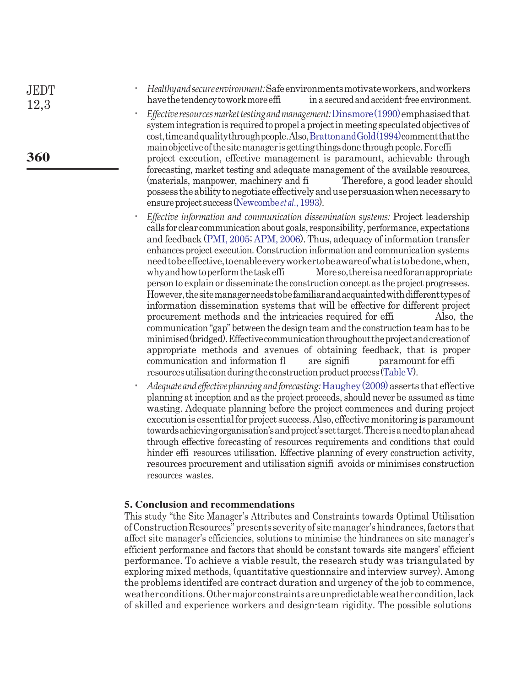| <b>JEDT</b><br>12,3 | Healthy and secure environment: Safe environments motivate workers, and workers<br>in a secured and accident-free environment.<br>have the tendency to work more effi                                                                                                    |
|---------------------|--------------------------------------------------------------------------------------------------------------------------------------------------------------------------------------------------------------------------------------------------------------------------|
|                     | Effective resources market testing and management: $D$ insmore (1990) emphasised that<br>system integration is required to propel a project in meeting speculated objectives of<br>cost, time and quality through people. Also, Bratton and Gold (1994) comment that the |
| 360                 | main objective of the site manager is getting things done through people. For effi<br>project execution, effective management is paramount, achievable through<br>forecasting, market testing and adequate management of the available resources,                        |

ensure project success (Newcombe *et al.*, 1993). • *Effective information and communication dissemination systems:* Project leadership calls for clear communication about goals, responsibility, performance, expectations and feedback (PMI, 2005; APM, 2006). Thus, adequacy of information transfer enhances project execution. Construction information and communication systems need tobe effective, to enable every worker tobe aware of what istobe done, when, why and how to perform the task effi More so, there is a need for an appropriate person to explain or disseminate the construction concept as the project progresses. However, the site manager needs tobe familiar and acquainted with different types of information dissemination systems that will be effective for different project procurement methods and the intricacies required for effi Also, the communication "gap" between the design team and the construction team has to be minimised (bridged). Effective communication throughout the project and creation of appropriate methods and avenues of obtaining feedback, that is proper communication and information fl are signifi paramount for effi resources utilisation during the construction product process [\(Table V\)](#page-13-0).

(materials, manpower, machinery and fi Therefore, a good leader should possess the ability to negotiate effectively and use persuasion when necessary to

• *Adequate and effective planning and forecasting:* Haughey (2009) asserts that effective planning at inception and as the project proceeds, should never be assumed as time wasting. Adequate planning before the project commences and during project execution is essential for project success. Also, effective monitoring is paramount towards achieving organisation's and project's set target. There is a need to plan ahead through effective forecasting of resources requirements and conditions that could hinder effi resources utilisation. Effective planning of every construction activity, resources procurement and utilisation signifi avoids or minimises construction resources wastes.

### **5. Conclusion and recommendations**

This study "the Site Manager's Attributes and Constraints towards Optimal Utilisation of Construction Resources" presents severity of site manager's hindrances, factors that affect site manager's efficiencies, solutions to minimise the hindrances on site manager's efficient performance and factors that should be constant towards site mangers' efficient performance. To achieve a viable result, the research study was triangulated by exploring mixed methods, (quantitative questionnaire and interview survey). Among the problems identifed are contract duration and urgency of the job to commence, weather conditions. Other major constraints are unpredictable weather condition, lack of skilled and experience workers and design-team rigidity. The possible solutions